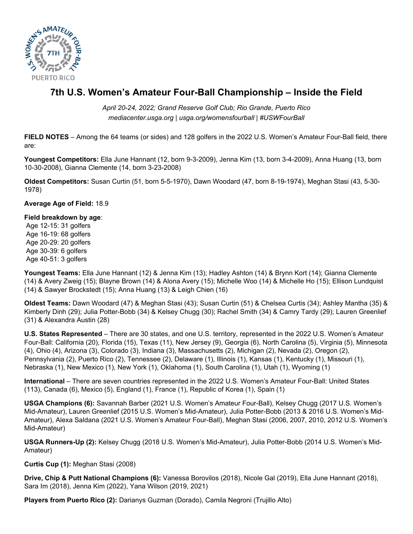

# **7th U.S. Women's Amateur Four-Ball Championship – Inside the Field**

*April 20-24, 2022; Grand Reserve Golf Club; Rio Grande, Puerto Rico mediacenter.usga.org | usga.org/womensfourball | #USWFourBall*

**FIELD NOTES** – Among the 64 teams (or sides) and 128 golfers in the 2022 U.S. Women's Amateur Four-Ball field, there are:

**Youngest Competitors:** Ella June Hannant (12, born 9-3-2009), Jenna Kim (13, born 3-4-2009), Anna Huang (13, born 10-30-2008), Gianna Clemente (14, born 3-23-2008)

**Oldest Competitors:** Susan Curtin (51, born 5-5-1970), Dawn Woodard (47, born 8-19-1974), Meghan Stasi (43, 5-30- 1978)

**Average Age of Field:** 18.9

#### **Field breakdown by age**:

 Age 12-15: 31 golfers Age 16-19: 68 golfers Age 20-29: 20 golfers Age 30-39: 6 golfers Age 40-51: 3 golfers

**Youngest Teams:** Ella June Hannant (12) & Jenna Kim (13); Hadley Ashton (14) & Brynn Kort (14); Gianna Clemente (14) & Avery Zweig (15); Blayne Brown (14) & Alona Avery (15); Michelle Woo (14) & Michelle Ho (15); Ellison Lundquist (14) & Sawyer Brockstedt (15); Anna Huang (13) & Leigh Chien (16)

**Oldest Teams:** Dawn Woodard (47) & Meghan Stasi (43); Susan Curtin (51) & Chelsea Curtis (34); Ashley Mantha (35) & Kimberly Dinh (29); Julia Potter-Bobb (34) & Kelsey Chugg (30); Rachel Smith (34) & Camry Tardy (29); Lauren Greenlief (31) & Alexandra Austin (28)

**U.S. States Represented** – There are 30 states, and one U.S. territory, represented in the 2022 U.S. Women's Amateur Four-Ball: California (20), Florida (15), Texas (11), New Jersey (9), Georgia (6), North Carolina (5), Virginia (5), Minnesota (4), Ohio (4), Arizona (3), Colorado (3), Indiana (3), Massachusetts (2), Michigan (2), Nevada (2), Oregon (2), Pennsylvania (2), Puerto Rico (2), Tennessee (2), Delaware (1), Illinois (1), Kansas (1), Kentucky (1), Missouri (1), Nebraska (1), New Mexico (1), New York (1), Oklahoma (1), South Carolina (1), Utah (1), Wyoming (1)

**International** – There are seven countries represented in the 2022 U.S. Women's Amateur Four-Ball: United States (113), Canada (6), Mexico (5), England (1), France (1), Republic of Korea (1), Spain (1)

**USGA Champions (6):** Savannah Barber (2021 U.S. Women's Amateur Four-Ball), Kelsey Chugg (2017 U.S. Women's Mid-Amateur), Lauren Greenlief (2015 U.S. Women's Mid-Amateur), Julia Potter-Bobb (2013 & 2016 U.S. Women's Mid-Amateur), Alexa Saldana (2021 U.S. Women's Amateur Four-Ball), Meghan Stasi (2006, 2007, 2010, 2012 U.S. Women's Mid-Amateur)

**USGA Runners-Up (2):** Kelsey Chugg (2018 U.S. Women's Mid-Amateur), Julia Potter-Bobb (2014 U.S. Women's Mid-Amateur)

**Curtis Cup (1):** Meghan Stasi (2008)

**Drive, Chip & Putt National Champions (6):** Vanessa Borovilos (2018), Nicole Gal (2019), Ella June Hannant (2018), Sara Im (2018), Jenna Kim (2022), Yana Wilson (2019, 2021)

**Players from Puerto Rico (2):** Darianys Guzman (Dorado), Camila Negroni (Trujillo Alto)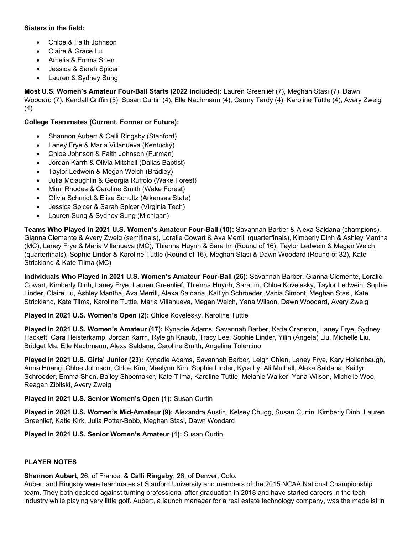## **Sisters in the field:**

- Chloe & Faith Johnson
- Claire & Grace Lu
- Amelia & Emma Shen
- Jessica & Sarah Spicer
- Lauren & Sydney Sung

**Most U.S. Women's Amateur Four-Ball Starts (2022 included):** Lauren Greenlief (7), Meghan Stasi (7), Dawn Woodard (7), Kendall Griffin (5), Susan Curtin (4), Elle Nachmann (4), Camry Tardy (4), Karoline Tuttle (4), Avery Zweig (4)

## **College Teammates (Current, Former or Future):**

- Shannon Aubert & Calli Ringsby (Stanford)
- Laney Frye & Maria Villanueva (Kentucky)
- Chloe Johnson & Faith Johnson (Furman)
- Jordan Karrh & Olivia Mitchell (Dallas Baptist)
- Taylor Ledwein & Megan Welch (Bradley)
- Julia Mclaughlin & Georgia Ruffolo (Wake Forest)
- Mimi Rhodes & Caroline Smith (Wake Forest)
- Olivia Schmidt & Elise Schultz (Arkansas State)
- Jessica Spicer & Sarah Spicer (Virginia Tech)
- Lauren Sung & Sydney Sung (Michigan)

**Teams Who Played in 2021 U.S. Women's Amateur Four-Ball (10):** Savannah Barber & Alexa Saldana (champions), Gianna Clemente & Avery Zweig (semifinals), Loralie Cowart & Ava Merrill (quarterfinals), Kimberly Dinh & Ashley Mantha (MC), Laney Frye & Maria Villanueva (MC), Thienna Huynh & Sara Im (Round of 16), Taylor Ledwein & Megan Welch (quarterfinals), Sophie Linder & Karoline Tuttle (Round of 16), Meghan Stasi & Dawn Woodard (Round of 32), Kate Strickland & Kate Tilma (MC)

**Individuals Who Played in 2021 U.S. Women's Amateur Four-Ball (26):** Savannah Barber, Gianna Clemente, Loralie Cowart, Kimberly Dinh, Laney Frye, Lauren Greenlief, Thienna Huynh, Sara Im, Chloe Kovelesky, Taylor Ledwein, Sophie Linder, Claire Lu, Ashley Mantha, Ava Merrill, Alexa Saldana, Kaitlyn Schroeder, Vania Simont, Meghan Stasi, Kate Strickland, Kate Tilma, Karoline Tuttle, Maria Villanueva, Megan Welch, Yana Wilson, Dawn Woodard, Avery Zweig

**Played in 2021 U.S. Women's Open (2):** Chloe Kovelesky, Karoline Tuttle

**Played in 2021 U.S. Women's Amateur (17):** Kynadie Adams, Savannah Barber, Katie Cranston, Laney Frye, Sydney Hackett, Cara Heisterkamp, Jordan Karrh, Ryleigh Knaub, Tracy Lee, Sophie Linder, Yilin (Angela) Liu, Michelle Liu, Bridget Ma, Elle Nachmann, Alexa Saldana, Caroline Smith, Angelina Tolentino

**Played in 2021 U.S. Girls' Junior (23):** Kynadie Adams, Savannah Barber, Leigh Chien, Laney Frye, Kary Hollenbaugh, Anna Huang, Chloe Johnson, Chloe Kim, Maelynn Kim, Sophie Linder, Kyra Ly, Ali Mulhall, Alexa Saldana, Kaitlyn Schroeder, Emma Shen, Bailey Shoemaker, Kate Tilma, Karoline Tuttle, Melanie Walker, Yana Wilson, Michelle Woo, Reagan Zibilski, Avery Zweig

**Played in 2021 U.S. Senior Women's Open (1):** Susan Curtin

**Played in 2021 U.S. Women's Mid-Amateur (9):** Alexandra Austin, Kelsey Chugg, Susan Curtin, Kimberly Dinh, Lauren Greenlief, Katie Kirk, Julia Potter-Bobb, Meghan Stasi, Dawn Woodard

**Played in 2021 U.S. Senior Women's Amateur (1):** Susan Curtin

### **PLAYER NOTES**

**Shannon Aubert**, 26, of France, & **Calli Ringsby**, 26, of Denver, Colo.

Aubert and Ringsby were teammates at Stanford University and members of the 2015 NCAA National Championship team. They both decided against turning professional after graduation in 2018 and have started careers in the tech industry while playing very little golf. Aubert, a launch manager for a real estate technology company, was the medalist in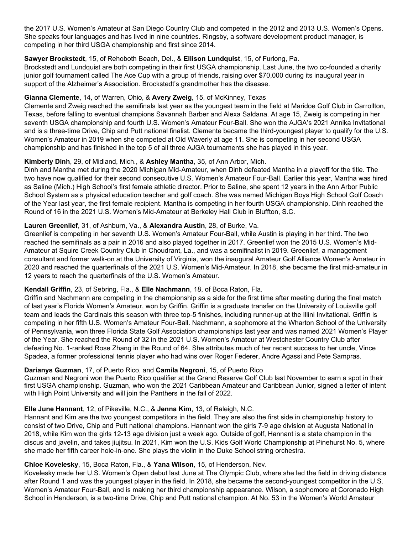the 2017 U.S. Women's Amateur at San Diego Country Club and competed in the 2012 and 2013 U.S. Women's Opens. She speaks four languages and has lived in nine countries. Ringsby, a software development product manager, is competing in her third USGA championship and first since 2014.

## **Sawyer Brockstedt**, 15, of Rehoboth Beach, Del., & **Ellison Lundquist**, 15, of Furlong, Pa.

Brockstedt and Lundquist are both competing in their first USGA championship. Last June, the two co-founded a charity junior golf tournament called The Ace Cup with a group of friends, raising over \$70,000 during its inaugural year in support of the Alzheimer's Association. Brockstedt's grandmother has the disease.

## **Gianna Clemente**, 14, of Warren, Ohio, & **Avery Zweig**, 15, of McKinney, Texas

Clemente and Zweig reached the semifinals last year as the youngest team in the field at Maridoe Golf Club in Carrollton, Texas, before falling to eventual champions Savannah Barber and Alexa Saldana. At age 15, Zweig is competing in her seventh USGA championship and fourth U.S. Women's Amateur Four-Ball. She won the AJGA's 2021 Annika Invitational and is a three-time Drive, Chip and Putt national finalist. Clemente became the third-youngest player to qualify for the U.S. Women's Amateur in 2019 when she competed at Old Waverly at age 11. She is competing in her second USGA championship and has finished in the top 5 of all three AJGA tournaments she has played in this year.

## **Kimberly Dinh**, 29, of Midland, Mich., & **Ashley Mantha**, 35, of Ann Arbor, Mich.

Dinh and Mantha met during the 2020 Michigan Mid-Amateur, when Dinh defeated Mantha in a playoff for the title. The two have now qualified for their second consecutive U.S. Women's Amateur Four-Ball. Earlier this year, Mantha was hired as Saline (Mich.) High School's first female athletic director. Prior to Saline, she spent 12 years in the Ann Arbor Public School System as a physical education teacher and golf coach. She was named Michigan Boys High School Golf Coach of the Year last year, the first female recipient. Mantha is competing in her fourth USGA championship. Dinh reached the Round of 16 in the 2021 U.S. Women's Mid-Amateur at Berkeley Hall Club in Bluffton, S.C.

## **Lauren Greenlief**, 31, of Ashburn, Va., & **Alexandra Austin**, 28, of Burke, Va.

Greenlief is competing in her seventh U.S. Women's Amateur Four-Ball, while Austin is playing in her third. The two reached the semifinals as a pair in 2016 and also played together in 2017. Greenlief won the 2015 U.S. Women's Mid-Amateur at Squire Creek Country Club in Choudrant, La., and was a semifinalist in 2019. Greenlief, a management consultant and former walk-on at the University of Virginia, won the inaugural Amateur Golf Alliance Women's Amateur in 2020 and reached the quarterfinals of the 2021 U.S. Women's Mid-Amateur. In 2018, she became the first mid-amateur in 12 years to reach the quarterfinals of the U.S. Women's Amateur.

### **Kendall Griffin**, 23, of Sebring, Fla., & **Elle Nachmann**, 18, of Boca Raton, Fla.

Griffin and Nachmann are competing in the championship as a side for the first time after meeting during the final match of last year's Florida Women's Amateur, won by Griffin. Griffin is a graduate transfer on the University of Louisville golf team and leads the Cardinals this season with three top-5 finishes, including runner-up at the Illini Invitational. Griffin is competing in her fifth U.S. Women's Amateur Four-Ball. Nachmann, a sophomore at the Wharton School of the University of Pennsylvania, won three Florida State Golf Association championships last year and was named 2021 Women's Player of the Year. She reached the Round of 32 in the 2021 U.S. Women's Amateur at Westchester Country Club after defeating No. 1-ranked Rose Zhang in the Round of 64. She attributes much of her recent success to her uncle, Vince Spadea, a former professional tennis player who had wins over Roger Federer, Andre Agassi and Pete Sampras.

### **Darianys Guzman**, 17, of Puerto Rico, and **Camila Negroni**, 15, of Puerto Rico

Guzman and Negroni won the Puerto Rico qualifier at the Grand Reserve Golf Club last November to earn a spot in their first USGA championship. Guzman, who won the 2021 Caribbean Amateur and Caribbean Junior, signed a letter of intent with High Point University and will join the Panthers in the fall of 2022.

### **Elle June Hannant**, 12, of Pikeville, N.C., & **Jenna Kim**, 13, of Raleigh, N.C.

Hannant and Kim are the two youngest competitors in the field. They are also the first side in championship history to consist of two Drive, Chip and Putt national champions. Hannant won the girls 7-9 age division at Augusta National in 2018, while Kim won the girls 12-13 age division just a week ago. Outside of golf, Hannant is a state champion in the discus and javelin, and takes jiujitsu. In 2021, Kim won the U.S. Kids Golf World Championship at Pinehurst No. 5, where she made her fifth career hole-in-one. She plays the violin in the Duke School string orchestra.

# **Chloe Kovelesky**, 15, Boca Raton, Fla., & **Yana Wilson**, 15, of Henderson, Nev.

Kovelesky made her U.S. Women's Open debut last June at The Olympic Club, where she led the field in driving distance after Round 1 and was the youngest player in the field. In 2018, she became the second-youngest competitor in the U.S. Women's Amateur Four-Ball, and is making her third championship appearance. Wilson, a sophomore at Coronado High School in Henderson, is a two-time Drive, Chip and Putt national champion. At No. 53 in the Women's World Amateur